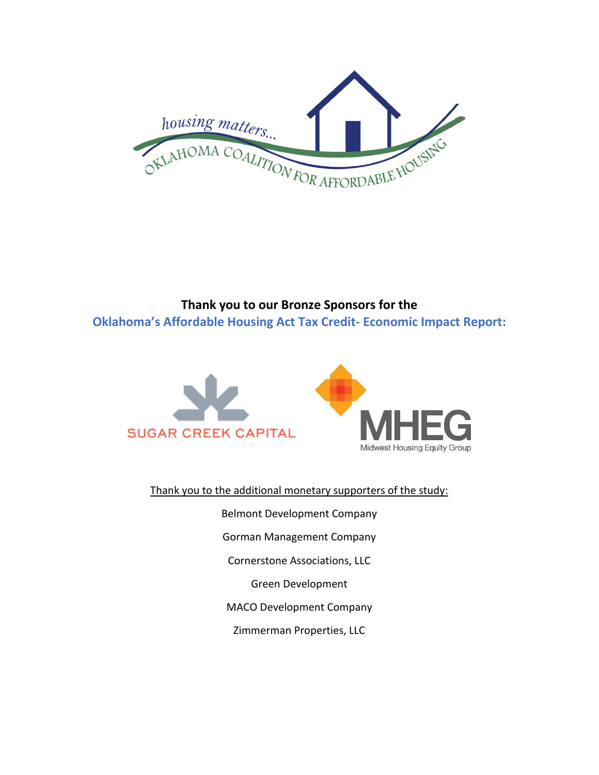

## **Thank you to our Bronze Sponsors for the Oklahoma's Affordable Housing Act Tax Credit- Economic Impact Report:**



Thank you to the additional monetary supporters of the study:

Belmont Development Company Gorman Management Company Cornerstone Associations, LLC Green Development MACO Development Company Zimmerman Properties, LLC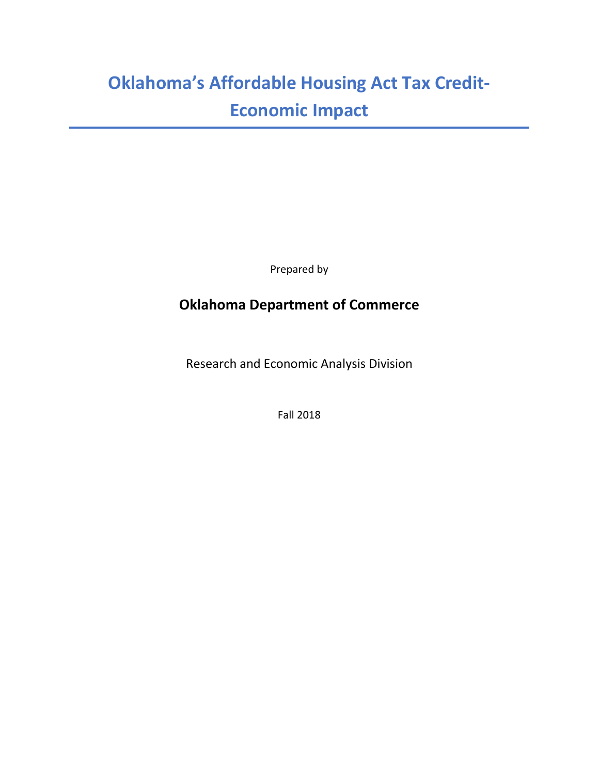## **Oklahoma's Affordable Housing Act Tax Credit-Economic Impact**

Prepared by

## **Oklahoma Department of Commerce**

Research and Economic Analysis Division

Fall 2018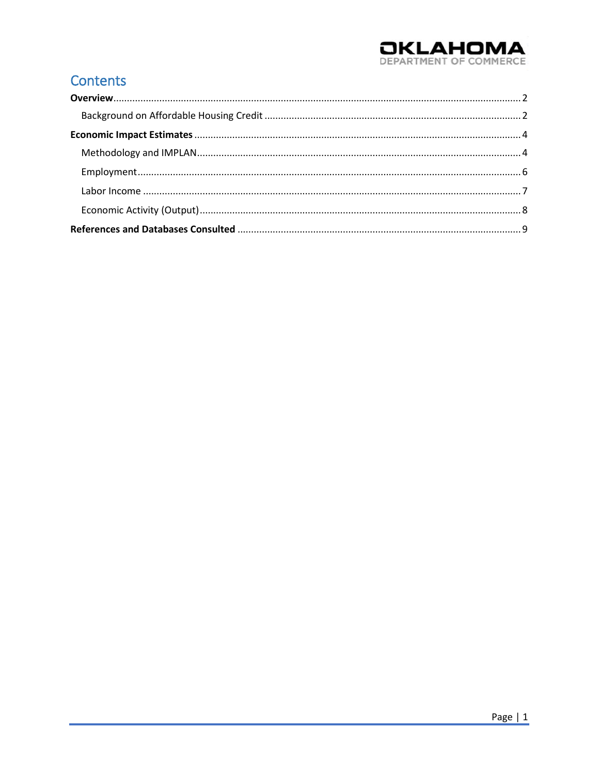# **OKLAHOMA**

## **Contents**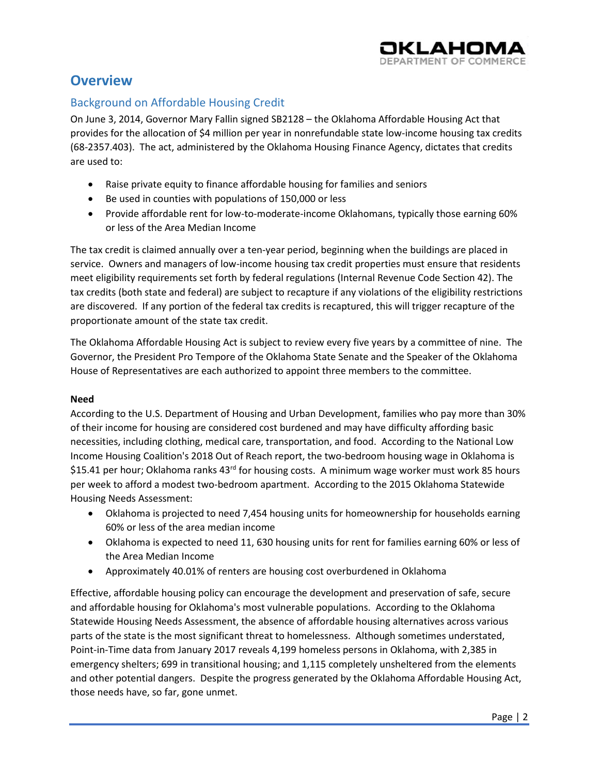

## <span id="page-3-0"></span>**Overview**

#### <span id="page-3-1"></span>Background on Affordable Housing Credit

On June 3, 2014, Governor Mary Fallin signed SB2128 – the Oklahoma Affordable Housing Act that provides for the allocation of \$4 million per year in nonrefundable state low-income housing tax credits (68-2357.403). The act, administered by the Oklahoma Housing Finance Agency, dictates that credits are used to:

- Raise private equity to finance affordable housing for families and seniors
- Be used in counties with populations of 150,000 or less
- Provide affordable rent for low-to-moderate-income Oklahomans, typically those earning 60% or less of the Area Median Income

The tax credit is claimed annually over a ten-year period, beginning when the buildings are placed in service. Owners and managers of low-income housing tax credit properties must ensure that residents meet eligibility requirements set forth by federal regulations (Internal Revenue Code Section 42). The tax credits (both state and federal) are subject to recapture if any violations of the eligibility restrictions are discovered. If any portion of the federal tax credits is recaptured, this will trigger recapture of the proportionate amount of the state tax credit.

The Oklahoma Affordable Housing Act is subject to review every five years by a committee of nine. The Governor, the President Pro Tempore of the Oklahoma State Senate and the Speaker of the Oklahoma House of Representatives are each authorized to appoint three members to the committee.

#### **Need**

According to the U.S. Department of Housing and Urban Development, families who pay more than 30% of their income for housing are considered cost burdened and may have difficulty affording basic necessities, including clothing, medical care, transportation, and food. According to the National Low Income Housing Coalition's 2018 Out of Reach report, the two-bedroom housing wage in Oklahoma is \$15.41 per hour; Oklahoma ranks 43<sup>rd</sup> for housing costs. A minimum wage worker must work 85 hours per week to afford a modest two-bedroom apartment. According to the 2015 Oklahoma Statewide Housing Needs Assessment:

- Oklahoma is projected to need 7,454 housing units for homeownership for households earning 60% or less of the area median income
- Oklahoma is expected to need 11, 630 housing units for rent for families earning 60% or less of the Area Median Income
- Approximately 40.01% of renters are housing cost overburdened in Oklahoma

Effective, affordable housing policy can encourage the development and preservation of safe, secure and affordable housing for Oklahoma's most vulnerable populations. According to the Oklahoma Statewide Housing Needs Assessment, the absence of affordable housing alternatives across various parts of the state is the most significant threat to homelessness. Although sometimes understated, Point-in-Time data from January 2017 reveals 4,199 homeless persons in Oklahoma, with 2,385 in emergency shelters; 699 in transitional housing; and 1,115 completely unsheltered from the elements and other potential dangers. Despite the progress generated by the Oklahoma Affordable Housing Act, those needs have, so far, gone unmet.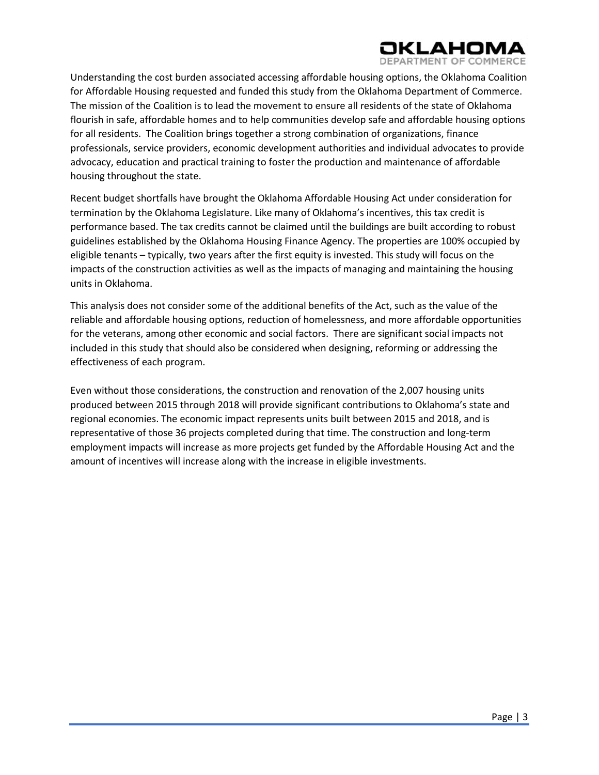

Understanding the cost burden associated accessing affordable housing options, the Oklahoma Coalition for Affordable Housing requested and funded this study from the Oklahoma Department of Commerce. The mission of the Coalition is to lead the movement to ensure all residents of the state of Oklahoma flourish in safe, affordable homes and to help communities develop safe and affordable housing options for all residents. The Coalition brings together a strong combination of organizations, finance professionals, service providers, economic development authorities and individual advocates to provide advocacy, education and practical training to foster the production and maintenance of affordable housing throughout the state.

Recent budget shortfalls have brought the Oklahoma Affordable Housing Act under consideration for termination by the Oklahoma Legislature. Like many of Oklahoma's incentives, this tax credit is performance based. The tax credits cannot be claimed until the buildings are built according to robust guidelines established by the Oklahoma Housing Finance Agency. The properties are 100% occupied by eligible tenants – typically, two years after the first equity is invested. This study will focus on the impacts of the construction activities as well as the impacts of managing and maintaining the housing units in Oklahoma.

This analysis does not consider some of the additional benefits of the Act, such as the value of the reliable and affordable housing options, reduction of homelessness, and more affordable opportunities for the veterans, among other economic and social factors. There are significant social impacts not included in this study that should also be considered when designing, reforming or addressing the effectiveness of each program.

Even without those considerations, the construction and renovation of the 2,007 housing units produced between 2015 through 2018 will provide significant contributions to Oklahoma's state and regional economies. The economic impact represents units built between 2015 and 2018, and is representative of those 36 projects completed during that time. The construction and long-term employment impacts will increase as more projects get funded by the Affordable Housing Act and the amount of incentives will increase along with the increase in eligible investments.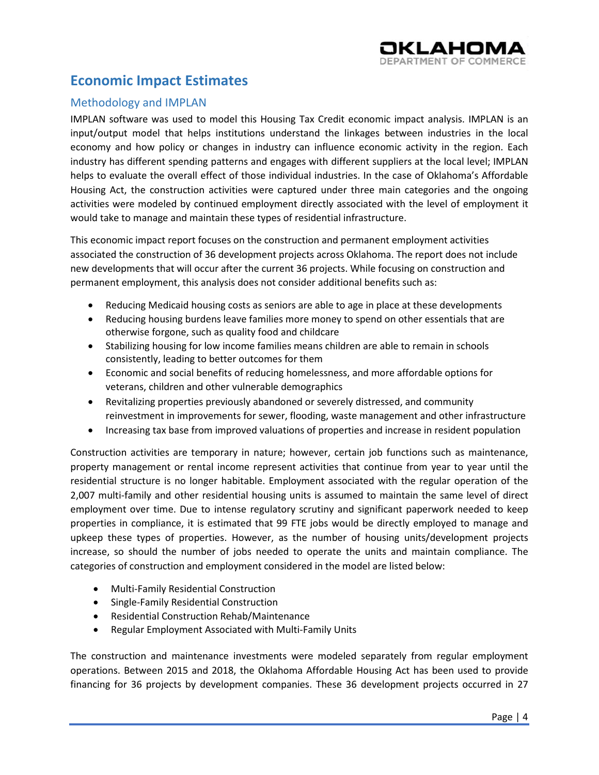

## <span id="page-5-0"></span>**Economic Impact Estimates**

#### <span id="page-5-1"></span>Methodology and IMPLAN

IMPLAN software was used to model this Housing Tax Credit economic impact analysis. IMPLAN is an input/output model that helps institutions understand the linkages between industries in the local economy and how policy or changes in industry can influence economic activity in the region. Each industry has different spending patterns and engages with different suppliers at the local level; IMPLAN helps to evaluate the overall effect of those individual industries. In the case of Oklahoma's Affordable Housing Act, the construction activities were captured under three main categories and the ongoing activities were modeled by continued employment directly associated with the level of employment it would take to manage and maintain these types of residential infrastructure.

This economic impact report focuses on the construction and permanent employment activities associated the construction of 36 development projects across Oklahoma. The report does not include new developments that will occur after the current 36 projects. While focusing on construction and permanent employment, this analysis does not consider additional benefits such as:

- Reducing Medicaid housing costs as seniors are able to age in place at these developments
- Reducing housing burdens leave families more money to spend on other essentials that are otherwise forgone, such as quality food and childcare
- Stabilizing housing for low income families means children are able to remain in schools consistently, leading to better outcomes for them
- Economic and social benefits of reducing homelessness, and more affordable options for veterans, children and other vulnerable demographics
- Revitalizing properties previously abandoned or severely distressed, and community reinvestment in improvements for sewer, flooding, waste management and other infrastructure
- Increasing tax base from improved valuations of properties and increase in resident population

Construction activities are temporary in nature; however, certain job functions such as maintenance, property management or rental income represent activities that continue from year to year until the residential structure is no longer habitable. Employment associated with the regular operation of the 2,007 multi-family and other residential housing units is assumed to maintain the same level of direct employment over time. Due to intense regulatory scrutiny and significant paperwork needed to keep properties in compliance, it is estimated that 99 FTE jobs would be directly employed to manage and upkeep these types of properties. However, as the number of housing units/development projects increase, so should the number of jobs needed to operate the units and maintain compliance. The categories of construction and employment considered in the model are listed below:

- Multi-Family Residential Construction
- Single-Family Residential Construction
- Residential Construction Rehab/Maintenance
- Regular Employment Associated with Multi-Family Units

The construction and maintenance investments were modeled separately from regular employment operations. Between 2015 and 2018, the Oklahoma Affordable Housing Act has been used to provide financing for 36 projects by development companies. These 36 development projects occurred in 27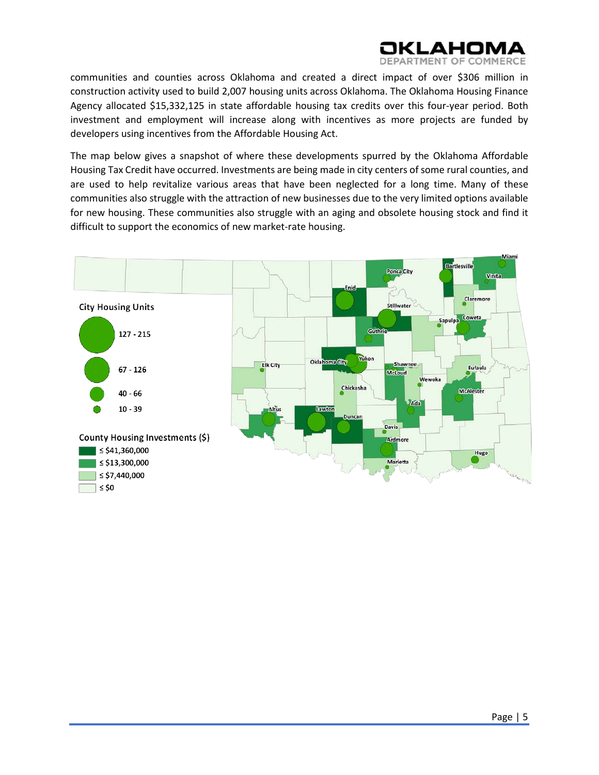

communities and counties across Oklahoma and created a direct impact of over \$306 million in construction activity used to build 2,007 housing units across Oklahoma. The Oklahoma Housing Finance Agency allocated \$15,332,125 in state affordable housing tax credits over this four-year period. Both investment and employment will increase along with incentives as more projects are funded by developers using incentives from the Affordable Housing Act.

The map below gives a snapshot of where these developments spurred by the Oklahoma Affordable Housing Tax Credit have occurred. Investments are being made in city centers of some rural counties, and are used to help revitalize various areas that have been neglected for a long time. Many of these communities also struggle with the attraction of new businesses due to the very limited options available for new housing. These communities also struggle with an aging and obsolete housing stock and find it difficult to support the economics of new market-rate housing.

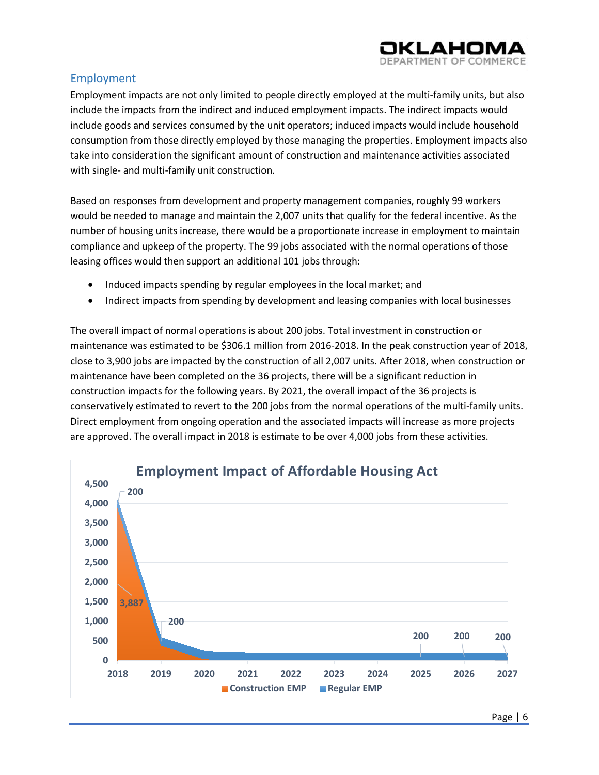

#### <span id="page-7-0"></span>Employment

Employment impacts are not only limited to people directly employed at the multi-family units, but also include the impacts from the indirect and induced employment impacts. The indirect impacts would include goods and services consumed by the unit operators; induced impacts would include household consumption from those directly employed by those managing the properties. Employment impacts also take into consideration the significant amount of construction and maintenance activities associated with single- and multi-family unit construction.

Based on responses from development and property management companies, roughly 99 workers would be needed to manage and maintain the 2,007 units that qualify for the federal incentive. As the number of housing units increase, there would be a proportionate increase in employment to maintain compliance and upkeep of the property. The 99 jobs associated with the normal operations of those leasing offices would then support an additional 101 jobs through:

- Induced impacts spending by regular employees in the local market; and
- Indirect impacts from spending by development and leasing companies with local businesses

The overall impact of normal operations is about 200 jobs. Total investment in construction or maintenance was estimated to be \$306.1 million from 2016-2018. In the peak construction year of 2018, close to 3,900 jobs are impacted by the construction of all 2,007 units. After 2018, when construction or maintenance have been completed on the 36 projects, there will be a significant reduction in construction impacts for the following years. By 2021, the overall impact of the 36 projects is conservatively estimated to revert to the 200 jobs from the normal operations of the multi-family units. Direct employment from ongoing operation and the associated impacts will increase as more projects are approved. The overall impact in 2018 is estimate to be over 4,000 jobs from these activities.

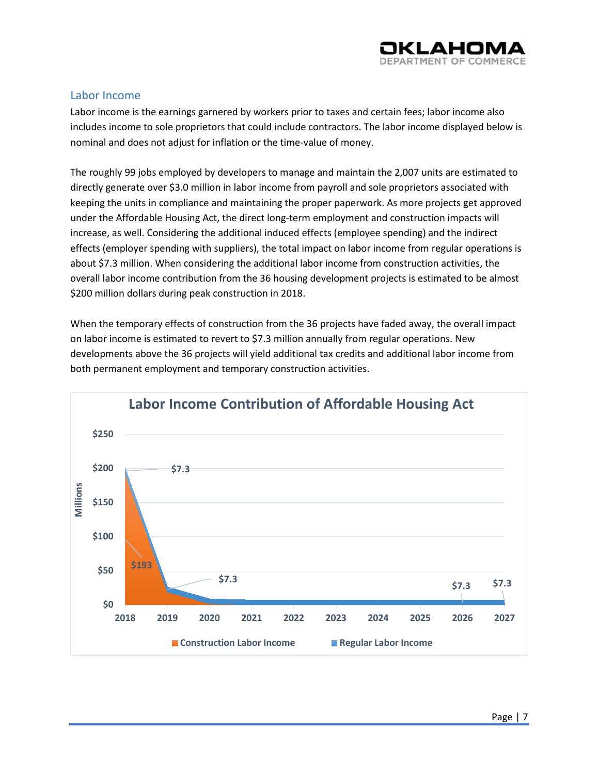

#### <span id="page-8-0"></span>Labor Income

Labor income is the earnings garnered by workers prior to taxes and certain fees; labor income also includes income to sole proprietors that could include contractors. The labor income displayed below is nominal and does not adjust for inflation or the time-value of money.

The roughly 99 jobs employed by developers to manage and maintain the 2,007 units are estimated to directly generate over \$3.0 million in labor income from payroll and sole proprietors associated with keeping the units in compliance and maintaining the proper paperwork. As more projects get approved under the Affordable Housing Act, the direct long-term employment and construction impacts will increase, as well. Considering the additional induced effects (employee spending) and the indirect effects (employer spending with suppliers), the total impact on labor income from regular operations is about \$7.3 million. When considering the additional labor income from construction activities, the overall labor income contribution from the 36 housing development projects is estimated to be almost \$200 million dollars during peak construction in 2018.

When the temporary effects of construction from the 36 projects have faded away, the overall impact on labor income is estimated to revert to \$7.3 million annually from regular operations. New developments above the 36 projects will yield additional tax credits and additional labor income from both permanent employment and temporary construction activities.

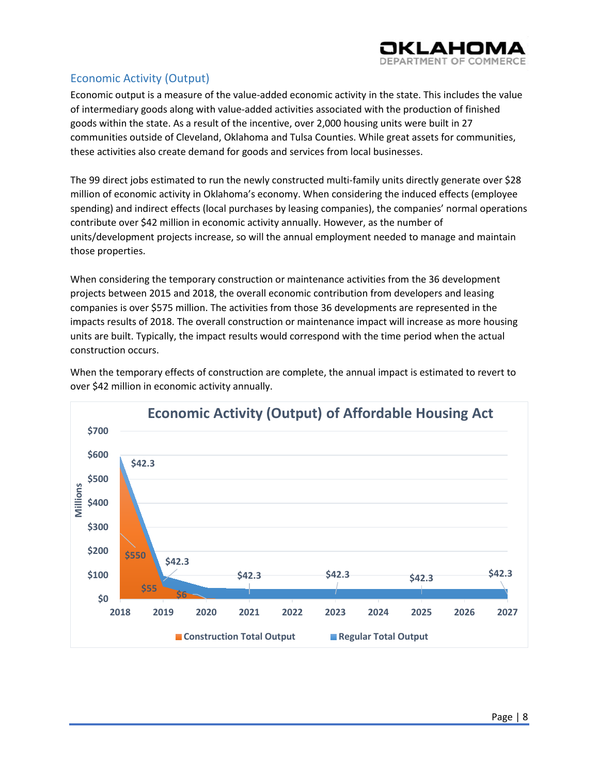

#### <span id="page-9-0"></span>Economic Activity (Output)

Economic output is a measure of the value-added economic activity in the state. This includes the value of intermediary goods along with value-added activities associated with the production of finished goods within the state. As a result of the incentive, over 2,000 housing units were built in 27 communities outside of Cleveland, Oklahoma and Tulsa Counties. While great assets for communities, these activities also create demand for goods and services from local businesses.

The 99 direct jobs estimated to run the newly constructed multi-family units directly generate over \$28 million of economic activity in Oklahoma's economy. When considering the induced effects (employee spending) and indirect effects (local purchases by leasing companies), the companies' normal operations contribute over \$42 million in economic activity annually. However, as the number of units/development projects increase, so will the annual employment needed to manage and maintain those properties.

When considering the temporary construction or maintenance activities from the 36 development projects between 2015 and 2018, the overall economic contribution from developers and leasing companies is over \$575 million. The activities from those 36 developments are represented in the impacts results of 2018. The overall construction or maintenance impact will increase as more housing units are built. Typically, the impact results would correspond with the time period when the actual construction occurs.



When the temporary effects of construction are complete, the annual impact is estimated to revert to over \$42 million in economic activity annually.